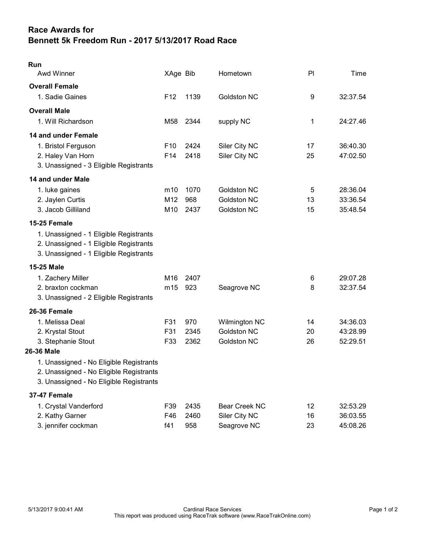## Race Awards for Bennett 5k Freedom Run - 2017 5/13/2017 Road Race

| Run<br>Awd Winner                       | XAge Bib        |      | Hometown           | PI | Time     |
|-----------------------------------------|-----------------|------|--------------------|----|----------|
| <b>Overall Female</b>                   |                 |      |                    |    |          |
| 1. Sadie Gaines                         | F <sub>12</sub> | 1139 | <b>Goldston NC</b> | 9  | 32:37.54 |
| <b>Overall Male</b>                     |                 |      |                    |    |          |
| 1. Will Richardson                      | M58             | 2344 | supply NC          | 1  | 24:27.46 |
| 14 and under Female                     |                 |      |                    |    |          |
| 1. Bristol Ferguson                     | F <sub>10</sub> | 2424 | Siler City NC      | 17 | 36:40.30 |
| 2. Haley Van Horn                       | F14             | 2418 | Siler City NC      | 25 | 47:02.50 |
| 3. Unassigned - 3 Eligible Registrants  |                 |      |                    |    |          |
| 14 and under Male                       |                 |      |                    |    |          |
| 1. luke gaines                          | m10             | 1070 | <b>Goldston NC</b> | 5  | 28:36.04 |
| 2. Jaylen Curtis                        | M12             | 968  | <b>Goldston NC</b> | 13 | 33:36.54 |
| 3. Jacob Gilliland                      | M10             | 2437 | Goldston NC        | 15 | 35:48.54 |
| 15-25 Female                            |                 |      |                    |    |          |
| 1. Unassigned - 1 Eligible Registrants  |                 |      |                    |    |          |
| 2. Unassigned - 1 Eligible Registrants  |                 |      |                    |    |          |
| 3. Unassigned - 1 Eligible Registrants  |                 |      |                    |    |          |
| 15-25 Male                              |                 |      |                    |    |          |
| 1. Zachery Miller                       | M16             | 2407 |                    | 6  | 29:07.28 |
| 2. braxton cockman                      | m15             | 923  | Seagrove NC        | 8  | 32:37.54 |
| 3. Unassigned - 2 Eligible Registrants  |                 |      |                    |    |          |
| 26-36 Female                            |                 |      |                    |    |          |
| 1. Melissa Deal                         | F31             | 970  | Wilmington NC      | 14 | 34:36.03 |
| 2. Krystal Stout                        | F31             | 2345 | <b>Goldston NC</b> | 20 | 43:28.99 |
| 3. Stephanie Stout                      | F33             | 2362 | <b>Goldston NC</b> | 26 | 52:29.51 |
| 26-36 Male                              |                 |      |                    |    |          |
| 1. Unassigned - No Eligible Registrants |                 |      |                    |    |          |
| 2. Unassigned - No Eligible Registrants |                 |      |                    |    |          |
| 3. Unassigned - No Eligible Registrants |                 |      |                    |    |          |
| 37-47 Female                            |                 |      |                    |    |          |
| 1. Crystal Vanderford                   | F39             | 2435 | Bear Creek NC      | 12 | 32:53.29 |
| 2. Kathy Garner                         | F46             | 2460 | Siler City NC      | 16 | 36:03.55 |
| 3. jennifer cockman                     | f41             | 958  | Seagrove NC        | 23 | 45:08.26 |